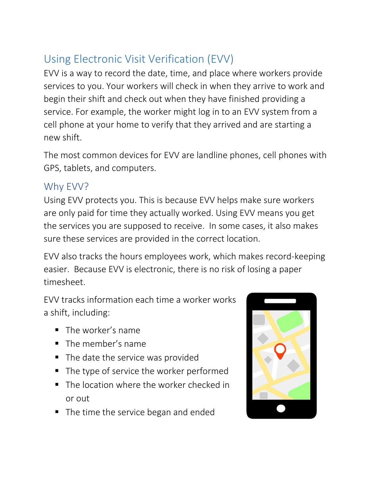## Using Electronic Visit Verification (EVV)

EVV is a way to record the date, time, and place where workers provide services to you. Your workers will check in when they arrive to work and begin their shift and check out when they have finished providing a service. For example, the worker might log in to an EVV system from a cell phone at your home to verify that they arrived and are starting a new shift.

The most common devices for EVV are landline phones, cell phones with GPS, tablets, and computers.

## Why EVV?

Using EVV protects you. This is because EVV helps make sure workers are only paid for time they actually worked. Using EVV means you get the services you are supposed to receive. In some cases, it also makes sure these services are provided in the correct location.

EVV also tracks the hours employees work, which makes record-keeping easier. Because EVV is electronic, there is no risk of losing a paper timesheet.

EVV tracks information each time a worker works a shift, including:

- The worker's name
- The member's name
- The date the service was provided
- The type of service the worker performed
- The location where the worker checked in or out
- The time the service began and ended